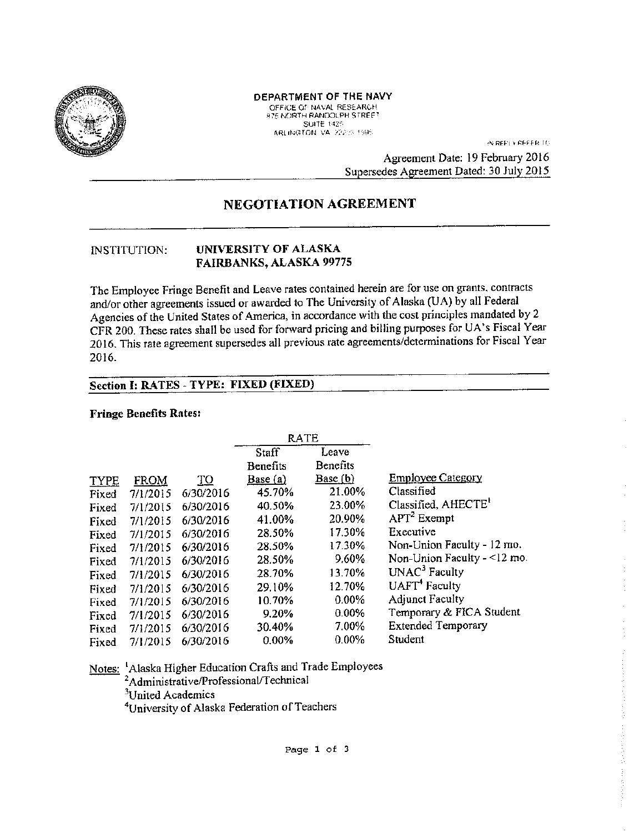

### DEPARTMENT OF THE NAVY

OFFICE OF NAVAL RESEARCH **ATE NORTH RANDOLPH STREET** SUITE 1425

**IN REPLY REFER TO** 

Agreement Date: 19 February 2016 Supersedes Agreement Dated: 30 July 2015

# NEGOTIATION AGREEMENT

#### **INSTITUTION:** UNIVERSITY OF ALASKA FAIRBANKS, ALASKA 99775

The Employee Fringe Benefit and Leave rates contained herein are for use on grants, contracts and/or other agreements issued or awarded to The University of Alaska (UA) by all Federal Agencies of the United States of America, in accordance with the cost principles mandated by 2 CFR 200. These rates shall be used for forward pricing and billing purposes for UA's Fiscal Year 2016. This rate agreement supersedes all previous rate agreements/determinations for Fiscal Year 2016.

# Section I: RATES - TYPE: FIXED (FIXED)

#### **Fringe Benefits Rates:**

|             |             |           | <b>RATE</b> |          |                                 |
|-------------|-------------|-----------|-------------|----------|---------------------------------|
|             |             |           | Staff       | Leave    |                                 |
|             |             |           | Benefits    | Benefits |                                 |
| <b>TYPE</b> | <b>FROM</b> | <u>TO</u> | Base(a)     | Base(b)  | <b>Employee Category</b>        |
| Fixed       | 7/1/2015    | 6/30/2016 | 45.70%      | 21.00%   | Classified                      |
| Fixed       | 7/1/2015    | 6/30/2016 | 40.50%      | 23.00%   | Classified, AHECTE <sup>1</sup> |
| Fixed       | 7/1/2015    | 6/30/2016 | 41.00%      | 20.90%   | $APT2$ Exempt                   |
| Fixed       | 7/1/2015    | 6/30/2016 | 28.50%      | 17.30%   | Executive                       |
| Fixed       | 7/1/2015    | 6/30/2016 | 28.50%      | 17.30%   | Non-Union Faculty - 12 mo.      |
| Fixed       | 7/1/2015    | 6/30/2016 | 28.50%      | 9.60%    | Non-Union Faculty $-$ <12 mo.   |
| Fixed       | 7/1/2015    | 6/30/2016 | 28.70%      | 13.70%   | UNAC <sup>3</sup> Faculty       |
| Fixed       | 7/1/2015    | 6/30/2016 | 29.10%      | 12.70%   | UAFT <sup>+</sup> Faculty       |
| Fixed       | 7/1/2015    | 6/30/2016 | 10.70%      | $0.00\%$ | <b>Adjunct Faculty</b>          |
| Fixed       | 7/1/2015    | 6/30/2016 | 9.20%       | 0.00%    | Temporary & FICA Student        |
| Fixed       | 7/1/2015    | 6/30/2016 | 30.40%      | 7.00%    | <b>Extended Temporary</b>       |
| Fixed       | 7/1/2015    | 6/30/2016 | 0.00%       | 0.00%    | Student                         |

Notes: Alaska Higher Education Crafts and Trade Employees <sup>2</sup>Administrative/Professional/Technical <sup>3</sup>United Academics

<sup>4</sup>University of Alaska Federation of Teachers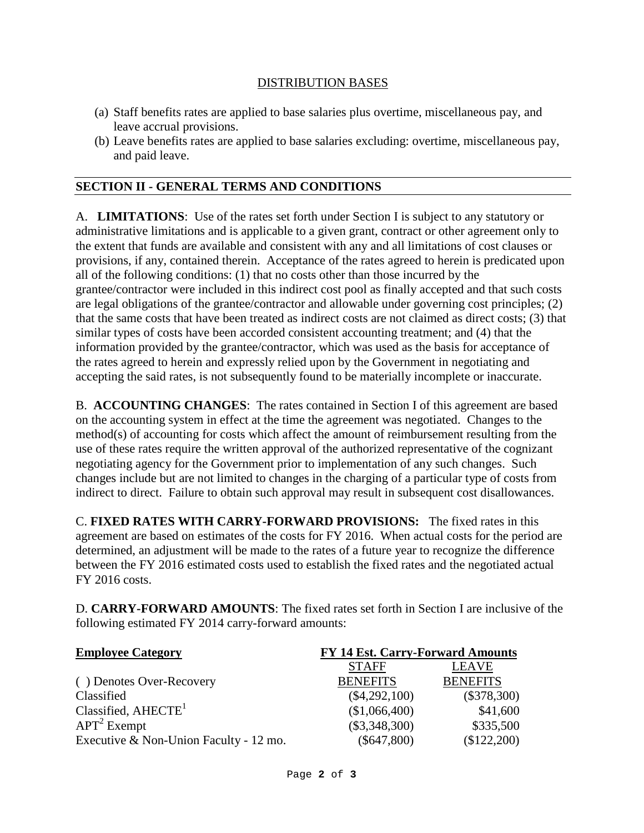## DISTRIBUTION BASES

- (a) Staff benefits rates are applied to base salaries plus overtime, miscellaneous pay, and leave accrual provisions.
- (b) Leave benefits rates are applied to base salaries excluding: overtime, miscellaneous pay, and paid leave.

## **SECTION II - GENERAL TERMS AND CONDITIONS**

A. **LIMITATIONS**: Use of the rates set forth under Section I is subject to any statutory or administrative limitations and is applicable to a given grant, contract or other agreement only to the extent that funds are available and consistent with any and all limitations of cost clauses or provisions, if any, contained therein. Acceptance of the rates agreed to herein is predicated upon all of the following conditions: (1) that no costs other than those incurred by the grantee/contractor were included in this indirect cost pool as finally accepted and that such costs are legal obligations of the grantee/contractor and allowable under governing cost principles; (2) that the same costs that have been treated as indirect costs are not claimed as direct costs; (3) that similar types of costs have been accorded consistent accounting treatment; and (4) that the information provided by the grantee/contractor, which was used as the basis for acceptance of the rates agreed to herein and expressly relied upon by the Government in negotiating and accepting the said rates, is not subsequently found to be materially incomplete or inaccurate.

B. **ACCOUNTING CHANGES**: The rates contained in Section I of this agreement are based on the accounting system in effect at the time the agreement was negotiated. Changes to the method(s) of accounting for costs which affect the amount of reimbursement resulting from the use of these rates require the written approval of the authorized representative of the cognizant negotiating agency for the Government prior to implementation of any such changes. Such changes include but are not limited to changes in the charging of a particular type of costs from indirect to direct. Failure to obtain such approval may result in subsequent cost disallowances.

C. **FIXED RATES WITH CARRY-FORWARD PROVISIONS:** The fixed rates in this agreement are based on estimates of the costs for FY 2016. When actual costs for the period are determined, an adjustment will be made to the rates of a future year to recognize the difference between the FY 2016 estimated costs used to establish the fixed rates and the negotiated actual FY 2016 costs.

D. **CARRY-FORWARD AMOUNTS**: The fixed rates set forth in Section I are inclusive of the following estimated FY 2014 carry-forward amounts:

| <b>Employee Category</b>               | <b>FY 14 Est. Carry-Forward Amounts</b> |                 |  |
|----------------------------------------|-----------------------------------------|-----------------|--|
|                                        | <b>STAFF</b>                            | <b>LEAVE</b>    |  |
| ( ) Denotes Over-Recovery              | <b>BENEFITS</b>                         | <b>BENEFITS</b> |  |
| Classified                             | $(\$4,292,100)$                         | $(\$378,300)$   |  |
| Classified, $AHECTE1$                  | (\$1,066,400)                           | \$41,600        |  |
| $APT2$ Exempt                          | $(\$3,348,300)$                         | \$335,500       |  |
| Executive & Non-Union Faculty - 12 mo. | $(\$647,800)$                           | \$122,200       |  |